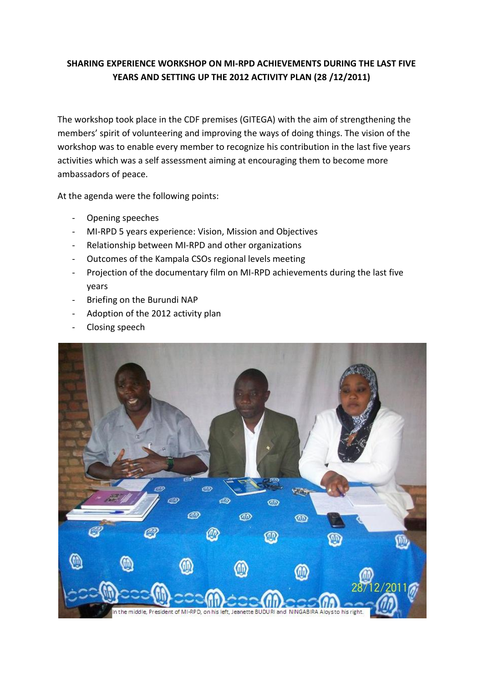## **SHARING EXPERIENCE WORKSHOP ON MI-RPD ACHIEVEMENTS DURING THE LAST FIVE YEARS AND SETTING UP THE 2012 ACTIVITY PLAN (28 /12/2011)**

The workshop took place in the CDF premises (GITEGA) with the aim of strengthening the members' spirit of volunteering and improving the ways of doing things. The vision of the workshop was to enable every member to recognize his contribution in the last five years activities which was a self assessment aiming at encouraging them to become more ambassadors of peace.

At the agenda were the following points:

- Opening speeches
- MI-RPD 5 years experience: Vision, Mission and Objectives
- Relationship between MI-RPD and other organizations
- Outcomes of the Kampala CSOs regional levels meeting
- Projection of the documentary film on MI-RPD achievements during the last five years
- Briefing on the Burundi NAP
- Adoption of the 2012 activity plan
- Closing speech

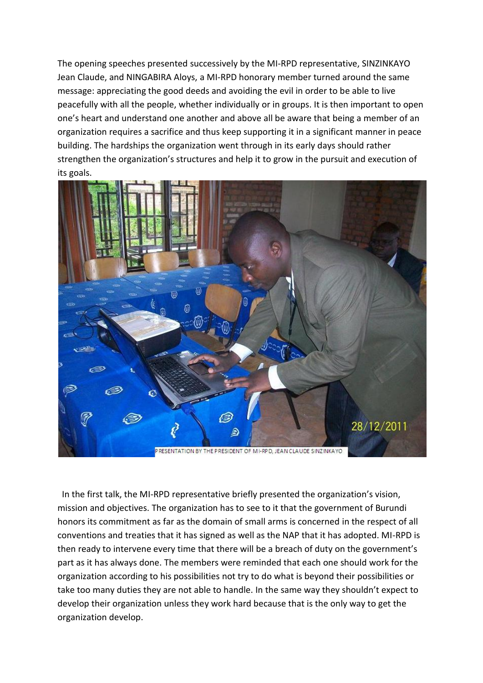The opening speeches presented successively by the MI-RPD representative, SINZINKAYO Jean Claude, and NINGABIRA Aloys, a MI-RPD honorary member turned around the same message: appreciating the good deeds and avoiding the evil in order to be able to live peacefully with all the people, whether individually or in groups. It is then important to open one's heart and understand one another and above all be aware that being a member of an organization requires a sacrifice and thus keep supporting it in a significant manner in peace building. The hardships the organization went through in its early days should rather strengthen the organization's structures and help it to grow in the pursuit and execution of its goals.



 In the first talk, the MI-RPD representative briefly presented the organization's vision, mission and objectives. The organization has to see to it that the government of Burundi honors its commitment as far as the domain of small arms is concerned in the respect of all conventions and treaties that it has signed as well as the NAP that it has adopted. MI-RPD is then ready to intervene every time that there will be a breach of duty on the government's part as it has always done. The members were reminded that each one should work for the organization according to his possibilities not try to do what is beyond their possibilities or take too many duties they are not able to handle. In the same way they shouldn't expect to develop their organization unless they work hard because that is the only way to get the organization develop.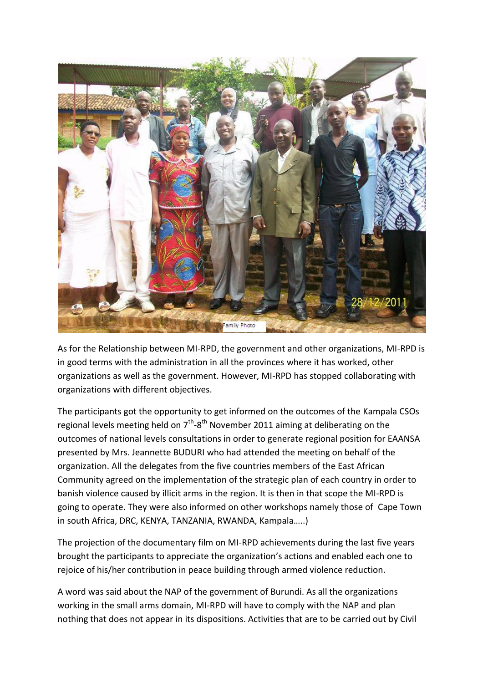

As for the Relationship between MI-RPD, the government and other organizations, MI-RPD is in good terms with the administration in all the provinces where it has worked, other organizations as well as the government. However, MI-RPD has stopped collaborating with organizations with different objectives.

The participants got the opportunity to get informed on the outcomes of the Kampala CSOs regional levels meeting held on  $7<sup>th</sup>$ -8<sup>th</sup> November 2011 aiming at deliberating on the outcomes of national levels consultations in order to generate regional position for EAANSA presented by Mrs. Jeannette BUDURI who had attended the meeting on behalf of the organization. All the delegates from the five countries members of the East African Community agreed on the implementation of the strategic plan of each country in order to banish violence caused by illicit arms in the region. It is then in that scope the MI-RPD is going to operate. They were also informed on other workshops namely those of Cape Town in south Africa, DRC, KENYA, TANZANIA, RWANDA, Kampala…..)

The projection of the documentary film on MI-RPD achievements during the last five years brought the participants to appreciate the organization's actions and enabled each one to rejoice of his/her contribution in peace building through armed violence reduction.

A word was said about the NAP of the government of Burundi. As all the organizations working in the small arms domain, MI-RPD will have to comply with the NAP and plan nothing that does not appear in its dispositions. Activities that are to be carried out by Civil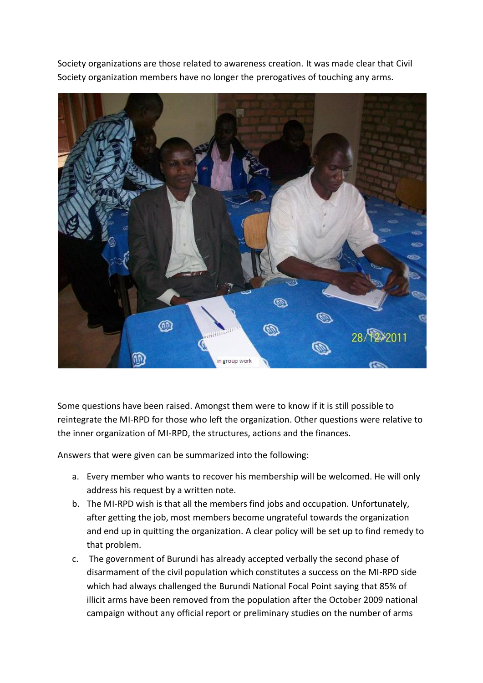Society organizations are those related to awareness creation. It was made clear that Civil Society organization members have no longer the prerogatives of touching any arms.



Some questions have been raised. Amongst them were to know if it is still possible to reintegrate the MI-RPD for those who left the organization. Other questions were relative to the inner organization of MI-RPD, the structures, actions and the finances.

Answers that were given can be summarized into the following:

- a. Every member who wants to recover his membership will be welcomed. He will only address his request by a written note.
- b. The MI-RPD wish is that all the members find jobs and occupation. Unfortunately, after getting the job, most members become ungrateful towards the organization and end up in quitting the organization. A clear policy will be set up to find remedy to that problem.
- c. The government of Burundi has already accepted verbally the second phase of disarmament of the civil population which constitutes a success on the MI-RPD side which had always challenged the Burundi National Focal Point saying that 85% of illicit arms have been removed from the population after the October 2009 national campaign without any official report or preliminary studies on the number of arms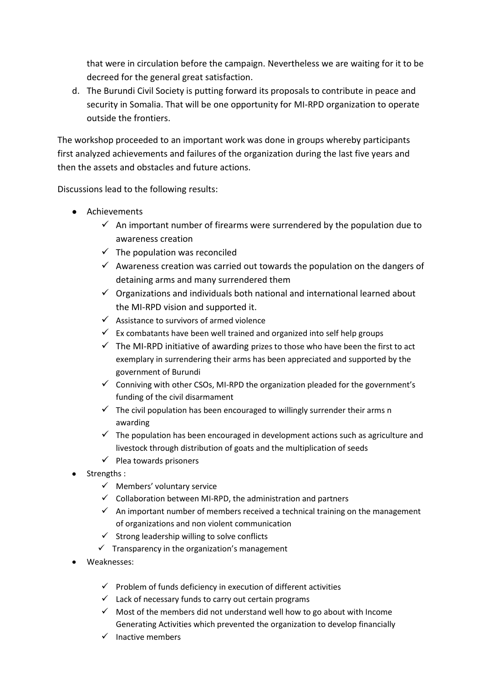that were in circulation before the campaign. Nevertheless we are waiting for it to be decreed for the general great satisfaction.

d. The Burundi Civil Society is putting forward its proposals to contribute in peace and security in Somalia. That will be one opportunity for MI-RPD organization to operate outside the frontiers.

The workshop proceeded to an important work was done in groups whereby participants first analyzed achievements and failures of the organization during the last five years and then the assets and obstacles and future actions.

Discussions lead to the following results:

- Achievements
	- $\checkmark$  An important number of firearms were surrendered by the population due to awareness creation
	- $\checkmark$  The population was reconciled
	- $\checkmark$  Awareness creation was carried out towards the population on the dangers of detaining arms and many surrendered them
	- $\checkmark$  Organizations and individuals both national and international learned about the MI-RPD vision and supported it.
	- $\checkmark$  Assistance to survivors of armed violence
	- $\checkmark$  Ex combatants have been well trained and organized into self help groups
	- $\checkmark$  The MI-RPD initiative of awarding prizes to those who have been the first to act exemplary in surrendering their arms has been appreciated and supported by the government of Burundi
	- $\checkmark$  Conniving with other CSOs, MI-RPD the organization pleaded for the government's funding of the civil disarmament
	- $\checkmark$  The civil population has been encouraged to willingly surrender their arms n awarding
	- $\checkmark$  The population has been encouraged in development actions such as agriculture and livestock through distribution of goats and the multiplication of seeds
	- $\checkmark$  Plea towards prisoners
- Strengths :
	- $\checkmark$  Members' voluntary service
	- $\checkmark$  Collaboration between MI-RPD, the administration and partners
	- $\checkmark$  An important number of members received a technical training on the management of organizations and non violent communication
	- $\checkmark$  Strong leadership willing to solve conflicts
	- $\checkmark$  Transparency in the organization's management
- Weaknesses:
	- $\checkmark$  Problem of funds deficiency in execution of different activities
	- $\checkmark$  Lack of necessary funds to carry out certain programs
	- $\checkmark$  Most of the members did not understand well how to go about with Income Generating Activities which prevented the organization to develop financially
	- $\checkmark$  Inactive members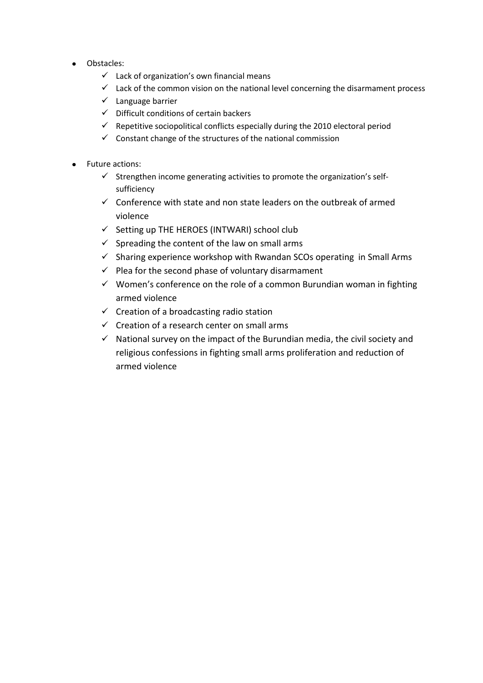- Obstacles:
	- $\checkmark$  Lack of organization's own financial means
	- $\checkmark$  Lack of the common vision on the national level concerning the disarmament process
	- $\checkmark$  Language barrier
	- $\checkmark$  Difficult conditions of certain backers
	- $\checkmark$  Repetitive sociopolitical conflicts especially during the 2010 electoral period
	- $\checkmark$  Constant change of the structures of the national commission
- Future actions:  $\bullet$ 
	- $\checkmark$  Strengthen income generating activities to promote the organization's selfsufficiency
	- $\checkmark$  Conference with state and non state leaders on the outbreak of armed violence
	- $\checkmark$  Setting up THE HEROES (INTWARI) school club
	- $\checkmark$  Spreading the content of the law on small arms
	- $\checkmark$  Sharing experience workshop with Rwandan SCOs operating in Small Arms
	- $\checkmark$  Plea for the second phase of voluntary disarmament
	- $\checkmark$  Women's conference on the role of a common Burundian woman in fighting armed violence
	- $\checkmark$  Creation of a broadcasting radio station
	- $\checkmark$  Creation of a research center on small arms
	- $\checkmark$  National survey on the impact of the Burundian media, the civil society and religious confessions in fighting small arms proliferation and reduction of armed violence